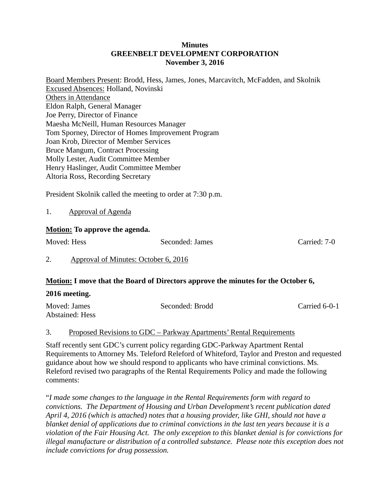#### **Minutes GREENBELT DEVELOPMENT CORPORATION November 3, 2016**

Board Members Present: Brodd, Hess, James, Jones, Marcavitch, McFadden, and Skolnik Excused Absences: Holland, Novinski Others in Attendance Eldon Ralph, General Manager Joe Perry, Director of Finance Maesha McNeill, Human Resources Manager Tom Sporney, Director of Homes Improvement Program Joan Krob, Director of Member Services Bruce Mangum, Contract Processing Molly Lester, Audit Committee Member Henry Haslinger, Audit Committee Member Altoria Ross, Recording Secretary

President Skolnik called the meeting to order at 7:30 p.m.

1. Approval of Agenda

# **Motion: To approve the agenda.**

Moved: Hess Seconded: James Carried: 7-0

2. Approval of Minutes: October 6, 2016

# **Motion: I move that the Board of Directors approve the minutes for the October 6,**

### **2016 meeting.**

| Moved: James    | Seconded: Brodd | Carried 6-0-1 |
|-----------------|-----------------|---------------|
| Abstained: Hess |                 |               |

### 3. Proposed Revisions to GDC – Parkway Apartments' Rental Requirements

Staff recently sent GDC's current policy regarding GDC-Parkway Apartment Rental Requirements to Attorney Ms. Teleford Releford of Whiteford, Taylor and Preston and requested guidance about how we should respond to applicants who have criminal convictions. Ms. Releford revised two paragraphs of the Rental Requirements Policy and made the following comments:

"*I made some changes to the language in the Rental Requirements form with regard to convictions. The Department of Housing and Urban Development's recent publication dated April 4, 2016 (which is attached) notes that a housing provider, like GHI, should not have a blanket denial of applications due to criminal convictions in the last ten years because it is a violation of the Fair Housing Act. The only exception to this blanket denial is for convictions for illegal manufacture or distribution of a controlled substance. Please note this exception does not include convictions for drug possession.*